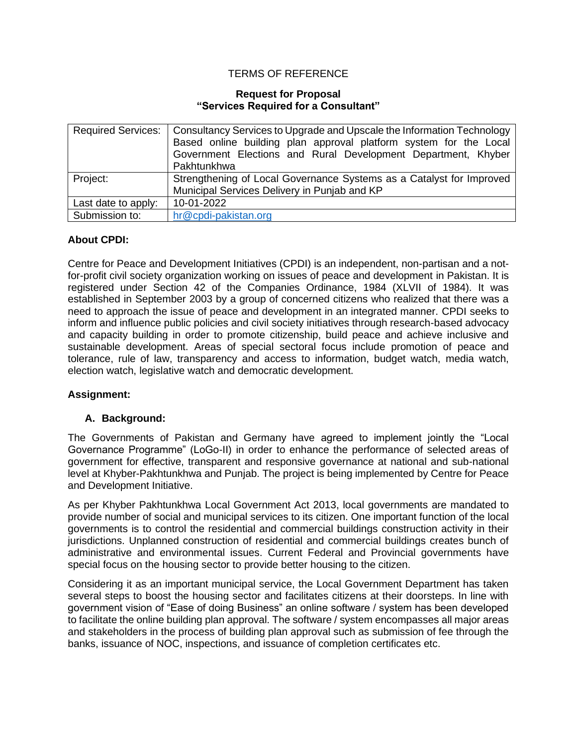## TERMS OF REFERENCE

#### **Request for Proposal "Services Required for a Consultant"**

| <b>Required Services:</b> | Consultancy Services to Upgrade and Upscale the Information Technology |
|---------------------------|------------------------------------------------------------------------|
|                           | Based online building plan approval platform system for the Local      |
|                           | Government Elections and Rural Development Department, Khyber          |
|                           | Pakhtunkhwa                                                            |
| Project:                  | Strengthening of Local Governance Systems as a Catalyst for Improved   |
|                           | Municipal Services Delivery in Punjab and KP                           |
| Last date to apply:       | 10-01-2022                                                             |
| Submission to:            | hr@cpdi-pakistan.org                                                   |

## **About CPDI:**

Centre for Peace and Development Initiatives (CPDI) is an independent, non-partisan and a notfor-profit civil society organization working on issues of peace and development in Pakistan. It is registered under Section 42 of the Companies Ordinance, 1984 (XLVII of 1984). It was established in September 2003 by a group of concerned citizens who realized that there was a need to approach the issue of peace and development in an integrated manner. CPDI seeks to inform and influence public policies and civil society initiatives through research-based advocacy and capacity building in order to promote citizenship, build peace and achieve inclusive and sustainable development. Areas of special sectoral focus include promotion of peace and tolerance, rule of law, transparency and access to information, budget watch, media watch, election watch, legislative watch and democratic development.

#### **Assignment:**

## **A. Background:**

The Governments of Pakistan and Germany have agreed to implement jointly the "Local Governance Programme" (LoGo-II) in order to enhance the performance of selected areas of government for effective, transparent and responsive governance at national and sub-national level at Khyber-Pakhtunkhwa and Punjab. The project is being implemented by Centre for Peace and Development Initiative.

As per Khyber Pakhtunkhwa Local Government Act 2013, local governments are mandated to provide number of social and municipal services to its citizen. One important function of the local governments is to control the residential and commercial buildings construction activity in their jurisdictions. Unplanned construction of residential and commercial buildings creates bunch of administrative and environmental issues. Current Federal and Provincial governments have special focus on the housing sector to provide better housing to the citizen.

Considering it as an important municipal service, the Local Government Department has taken several steps to boost the housing sector and facilitates citizens at their doorsteps. In line with government vision of "Ease of doing Business" an online software / system has been developed to facilitate the online building plan approval. The software / system encompasses all major areas and stakeholders in the process of building plan approval such as submission of fee through the banks, issuance of NOC, inspections, and issuance of completion certificates etc.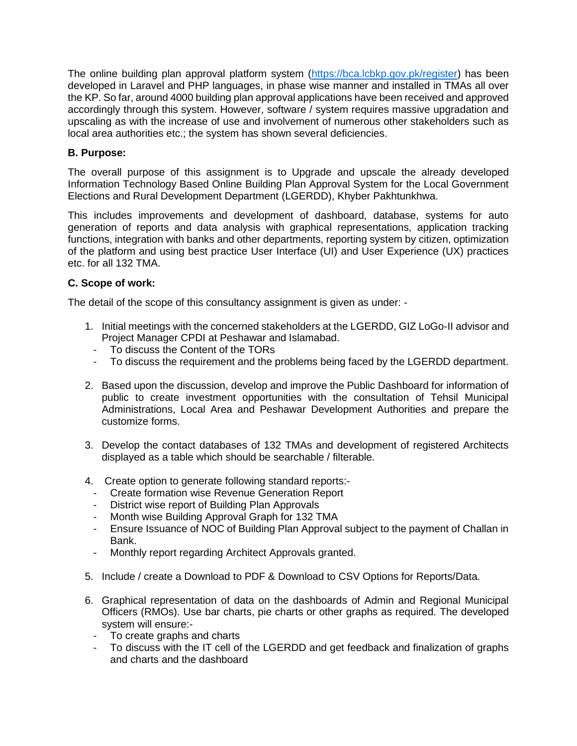The online building plan approval platform system [\(https://bca.lcbkp.gov.pk/register\)](https://bca.lcbkp.gov.pk/register) has been developed in Laravel and PHP languages, in phase wise manner and installed in TMAs all over the KP. So far, around 4000 building plan approval applications have been received and approved accordingly through this system. However, software / system requires massive upgradation and upscaling as with the increase of use and involvement of numerous other stakeholders such as local area authorities etc.; the system has shown several deficiencies.

## **B. Purpose:**

The overall purpose of this assignment is to Upgrade and upscale the already developed Information Technology Based Online Building Plan Approval System for the Local Government Elections and Rural Development Department (LGERDD), Khyber Pakhtunkhwa.

This includes improvements and development of dashboard, database, systems for auto generation of reports and data analysis with graphical representations, application tracking functions, integration with banks and other departments, reporting system by citizen, optimization of the platform and using best practice User Interface (UI) and User Experience (UX) practices etc. for all 132 TMA.

# **C. Scope of work:**

The detail of the scope of this consultancy assignment is given as under: -

- 1. Initial meetings with the concerned stakeholders at the LGERDD, GIZ LoGo-II advisor and Project Manager CPDI at Peshawar and Islamabad.
	- To discuss the Content of the TORs
	- To discuss the requirement and the problems being faced by the LGERDD department.
- 2. Based upon the discussion, develop and improve the Public Dashboard for information of public to create investment opportunities with the consultation of Tehsil Municipal Administrations, Local Area and Peshawar Development Authorities and prepare the customize forms.
- 3. Develop the contact databases of 132 TMAs and development of registered Architects displayed as a table which should be searchable / filterable.
- 4. Create option to generate following standard reports:-
	- Create formation wise Revenue Generation Report
	- District wise report of Building Plan Approvals
	- Month wise Building Approval Graph for 132 TMA
	- Ensure Issuance of NOC of Building Plan Approval subject to the payment of Challan in Bank.
	- Monthly report regarding Architect Approvals granted.
- 5. Include / create a Download to PDF & Download to CSV Options for Reports/Data.
- 6. Graphical representation of data on the dashboards of Admin and Regional Municipal Officers (RMOs). Use bar charts, pie charts or other graphs as required. The developed system will ensure:-
	- To create graphs and charts
	- To discuss with the IT cell of the LGERDD and get feedback and finalization of graphs and charts and the dashboard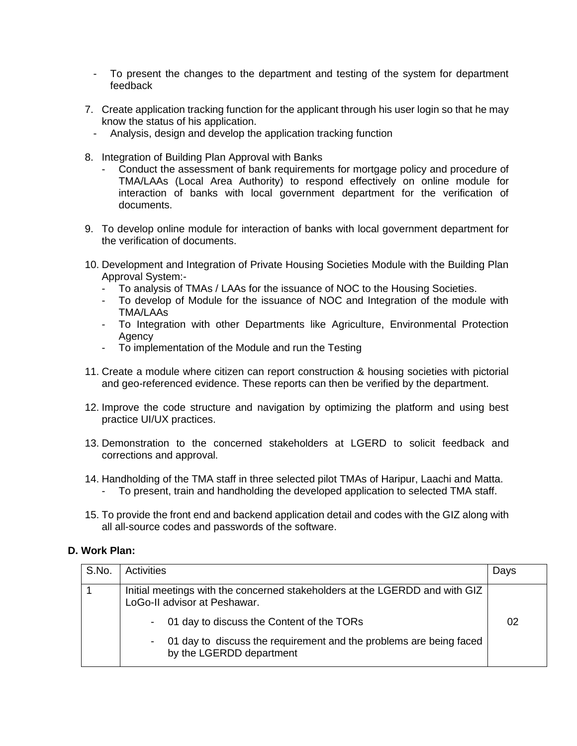- To present the changes to the department and testing of the system for department feedback
- 7. Create application tracking function for the applicant through his user login so that he may know the status of his application.
- Analysis, design and develop the application tracking function
- 8. Integration of Building Plan Approval with Banks
	- Conduct the assessment of bank requirements for mortgage policy and procedure of TMA/LAAs (Local Area Authority) to respond effectively on online module for interaction of banks with local government department for the verification of documents.
- 9. To develop online module for interaction of banks with local government department for the verification of documents.
- 10. Development and Integration of Private Housing Societies Module with the Building Plan Approval System:-
	- To analysis of TMAs / LAAs for the issuance of NOC to the Housing Societies.
	- To develop of Module for the issuance of NOC and Integration of the module with TMA/LAAs
	- To Integration with other Departments like Agriculture, Environmental Protection Agency
	- To implementation of the Module and run the Testing
- 11. Create a module where citizen can report construction & housing societies with pictorial and geo-referenced evidence. These reports can then be verified by the department.
- 12. Improve the code structure and navigation by optimizing the platform and using best practice UI/UX practices.
- 13. Demonstration to the concerned stakeholders at LGERD to solicit feedback and corrections and approval.
- 14. Handholding of the TMA staff in three selected pilot TMAs of Haripur, Laachi and Matta.
	- To present, train and handholding the developed application to selected TMA staff.
- 15. To provide the front end and backend application detail and codes with the GIZ along with all all-source codes and passwords of the software.

#### **D. Work Plan:**

| S.No. | Activities                                                                                                  | Days |
|-------|-------------------------------------------------------------------------------------------------------------|------|
|       | Initial meetings with the concerned stakeholders at the LGERDD and with GIZ<br>LoGo-II advisor at Peshawar. |      |
|       | - 01 day to discuss the Content of the TORs                                                                 | 02   |
|       | - 01 day to discuss the requirement and the problems are being faced<br>by the LGERDD department            |      |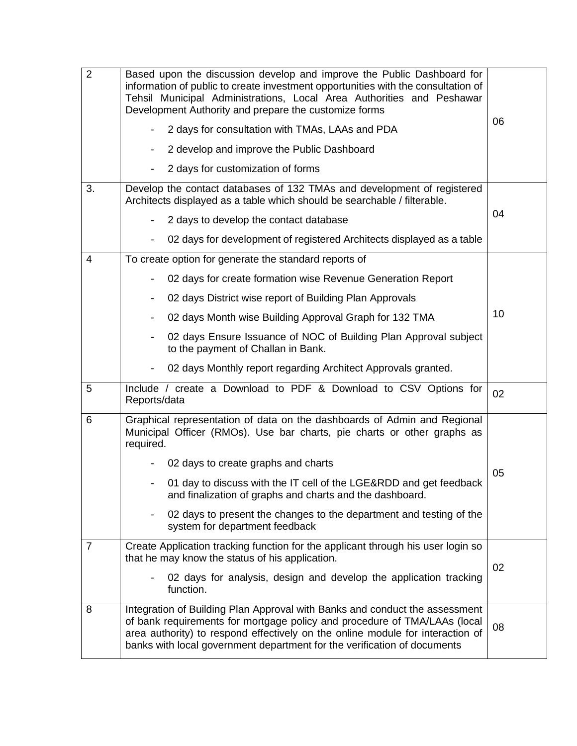| $\overline{2}$ | Based upon the discussion develop and improve the Public Dashboard for<br>information of public to create investment opportunities with the consultation of<br>Tehsil Municipal Administrations, Local Area Authorities and Peshawar<br>Development Authority and prepare the customize forms<br>2 days for consultation with TMAs, LAAs and PDA<br>2 develop and improve the Public Dashboard<br>$\overline{\phantom{a}}$<br>2 days for customization of forms | 06 |
|----------------|-----------------------------------------------------------------------------------------------------------------------------------------------------------------------------------------------------------------------------------------------------------------------------------------------------------------------------------------------------------------------------------------------------------------------------------------------------------------|----|
| 3.             | Develop the contact databases of 132 TMAs and development of registered<br>Architects displayed as a table which should be searchable / filterable.                                                                                                                                                                                                                                                                                                             | 04 |
|                | 2 days to develop the contact database                                                                                                                                                                                                                                                                                                                                                                                                                          |    |
|                | 02 days for development of registered Architects displayed as a table                                                                                                                                                                                                                                                                                                                                                                                           |    |
| 4              | To create option for generate the standard reports of                                                                                                                                                                                                                                                                                                                                                                                                           |    |
|                | 02 days for create formation wise Revenue Generation Report                                                                                                                                                                                                                                                                                                                                                                                                     |    |
|                | 02 days District wise report of Building Plan Approvals                                                                                                                                                                                                                                                                                                                                                                                                         |    |
|                | 02 days Month wise Building Approval Graph for 132 TMA<br>$\overline{\phantom{a}}$                                                                                                                                                                                                                                                                                                                                                                              | 10 |
|                | 02 days Ensure Issuance of NOC of Building Plan Approval subject<br>to the payment of Challan in Bank.                                                                                                                                                                                                                                                                                                                                                          |    |
|                | 02 days Monthly report regarding Architect Approvals granted.                                                                                                                                                                                                                                                                                                                                                                                                   |    |
| 5              | Include / create a Download to PDF & Download to CSV Options for<br>Reports/data                                                                                                                                                                                                                                                                                                                                                                                | 02 |
| 6              | Graphical representation of data on the dashboards of Admin and Regional<br>Municipal Officer (RMOs). Use bar charts, pie charts or other graphs as<br>required.                                                                                                                                                                                                                                                                                                |    |
|                | 02 days to create graphs and charts                                                                                                                                                                                                                                                                                                                                                                                                                             | 05 |
|                | 01 day to discuss with the IT cell of the LGE&RDD and get feedback<br>and finalization of graphs and charts and the dashboard.                                                                                                                                                                                                                                                                                                                                  |    |
|                | 02 days to present the changes to the department and testing of the<br>$\overline{\phantom{0}}$<br>system for department feedback                                                                                                                                                                                                                                                                                                                               |    |
| $\overline{7}$ | Create Application tracking function for the applicant through his user login so<br>that he may know the status of his application.                                                                                                                                                                                                                                                                                                                             | 02 |
|                | 02 days for analysis, design and develop the application tracking<br>function.                                                                                                                                                                                                                                                                                                                                                                                  |    |
| 8              | Integration of Building Plan Approval with Banks and conduct the assessment<br>of bank requirements for mortgage policy and procedure of TMA/LAAs (local<br>area authority) to respond effectively on the online module for interaction of<br>banks with local government department for the verification of documents                                                                                                                                          | 08 |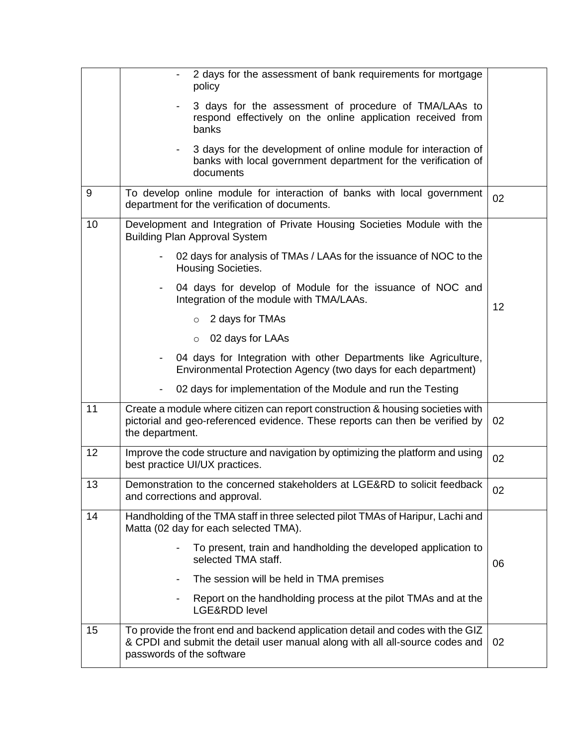|    | 2 days for the assessment of bank requirements for mortgage<br>policy                                                                                                                       |    |
|----|---------------------------------------------------------------------------------------------------------------------------------------------------------------------------------------------|----|
|    | 3 days for the assessment of procedure of TMA/LAAs to<br>respond effectively on the online application received from<br>banks                                                               |    |
|    | 3 days for the development of online module for interaction of<br>banks with local government department for the verification of<br>documents                                               |    |
| 9  | To develop online module for interaction of banks with local government<br>department for the verification of documents.                                                                    | 02 |
| 10 | Development and Integration of Private Housing Societies Module with the<br><b>Building Plan Approval System</b>                                                                            |    |
|    | 02 days for analysis of TMAs / LAAs for the issuance of NOC to the<br>Housing Societies.                                                                                                    |    |
|    | 04 days for develop of Module for the issuance of NOC and<br>Integration of the module with TMA/LAAs.                                                                                       | 12 |
|    | 2 days for TMAs<br>$\circ$                                                                                                                                                                  |    |
|    | 02 days for LAAs<br>$\circ$                                                                                                                                                                 |    |
|    | 04 days for Integration with other Departments like Agriculture,<br>Environmental Protection Agency (two days for each department)                                                          |    |
|    | 02 days for implementation of the Module and run the Testing                                                                                                                                |    |
| 11 | Create a module where citizen can report construction & housing societies with<br>pictorial and geo-referenced evidence. These reports can then be verified by<br>the department.           | 02 |
| 12 | Improve the code structure and navigation by optimizing the platform and using<br>best practice UI/UX practices.                                                                            | 02 |
| 13 | Demonstration to the concerned stakeholders at LGE&RD to solicit feedback<br>and corrections and approval.                                                                                  | 02 |
| 14 | Handholding of the TMA staff in three selected pilot TMAs of Haripur, Lachi and<br>Matta (02 day for each selected TMA).                                                                    |    |
|    | To present, train and handholding the developed application to<br>selected TMA staff.                                                                                                       | 06 |
|    | The session will be held in TMA premises                                                                                                                                                    |    |
|    | Report on the handholding process at the pilot TMAs and at the<br>LGE&RDD level                                                                                                             |    |
| 15 | To provide the front end and backend application detail and codes with the GIZ<br>& CPDI and submit the detail user manual along with all all-source codes and<br>passwords of the software | 02 |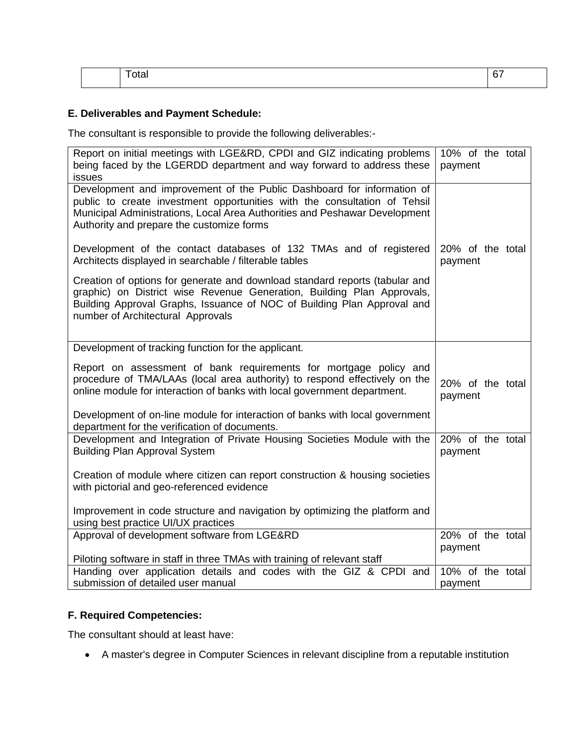|  | $\overline{\phantom{a}}$<br>. | - -<br> |
|--|-------------------------------|---------|
|  |                               |         |

# **E. Deliverables and Payment Schedule:**

The consultant is responsible to provide the following deliverables:-

| Report on initial meetings with LGE&RD, CPDI and GIZ indicating problems<br>being faced by the LGERDD department and way forward to address these<br>issues                                                                                                                                                 | 10% of the total<br>payment |
|-------------------------------------------------------------------------------------------------------------------------------------------------------------------------------------------------------------------------------------------------------------------------------------------------------------|-----------------------------|
| Development and improvement of the Public Dashboard for information of<br>public to create investment opportunities with the consultation of Tehsil<br>Municipal Administrations, Local Area Authorities and Peshawar Development<br>Authority and prepare the customize forms                              |                             |
| Development of the contact databases of 132 TMAs and of registered<br>Architects displayed in searchable / filterable tables                                                                                                                                                                                | 20% of the total<br>payment |
| Creation of options for generate and download standard reports (tabular and<br>graphic) on District wise Revenue Generation, Building Plan Approvals,<br>Building Approval Graphs, Issuance of NOC of Building Plan Approval and<br>number of Architectural Approvals                                       |                             |
| Development of tracking function for the applicant.                                                                                                                                                                                                                                                         |                             |
| Report on assessment of bank requirements for mortgage policy and<br>procedure of TMA/LAAs (local area authority) to respond effectively on the<br>online module for interaction of banks with local government department.<br>Development of on-line module for interaction of banks with local government | 20% of the total<br>payment |
| department for the verification of documents.                                                                                                                                                                                                                                                               |                             |
| Development and Integration of Private Housing Societies Module with the<br><b>Building Plan Approval System</b>                                                                                                                                                                                            | 20% of the total<br>payment |
| Creation of module where citizen can report construction & housing societies<br>with pictorial and geo-referenced evidence                                                                                                                                                                                  |                             |
| Improvement in code structure and navigation by optimizing the platform and<br>using best practice UI/UX practices                                                                                                                                                                                          |                             |
| Approval of development software from LGE&RD                                                                                                                                                                                                                                                                | 20% of the total            |
| Piloting software in staff in three TMAs with training of relevant staff                                                                                                                                                                                                                                    | payment                     |
| Handing over application details and codes with the GIZ & CPDI and                                                                                                                                                                                                                                          | 10% of the total            |
| submission of detailed user manual                                                                                                                                                                                                                                                                          | payment                     |

# **F. Required Competencies:**

The consultant should at least have:

• A master's degree in Computer Sciences in relevant discipline from a reputable institution